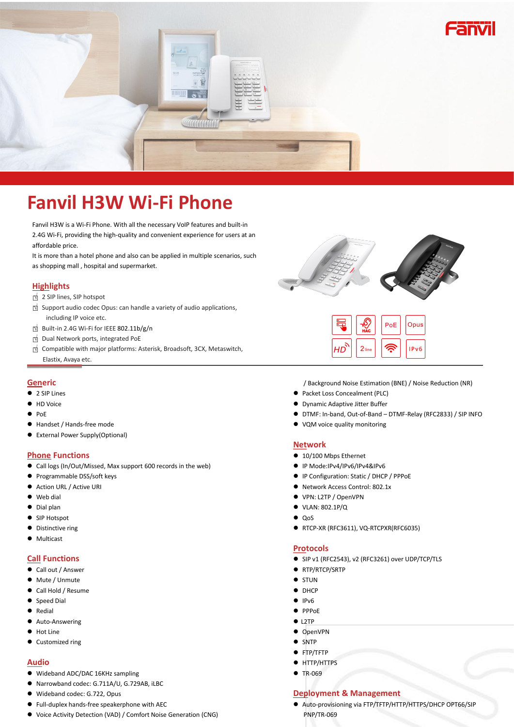

# **Fanvil H3W Wi-Fi Phone**

Fanvil H3W is a Wi-Fi Phone. With all the necessary VoIP features and built-in 2.4G Wi-Fi, providing the high-quality and convenient experience for users at an affordable price.

It is more than a hotel phone and also can be applied in multiple scenarios, such as shopping mall , hospital and supermarket.

### **Highlights**

- □<sup>√</sup> <sup>2</sup> SIP lines, SIP hotspot
- □<sup>√</sup> Support audio codec Opus: can handle <sup>a</sup> variety of audio applications, including IP voice etc.
- □<sup>√</sup> Built-in 2.4G Wi-Fi for IEEE 802.11b/g/n □<sup>√</sup> Dual Network ports, integrated PoE
- 
- □<sup>√</sup> Compatible with major platforms: Asterisk, Broadsoft, 3CX, Metaswitch, Elastix, Avaya etc.

#### **Generic**

- 2 SIP Lines
- **+ID Voice**
- $\bullet$  PoE
- Handset / Hands-free mode
- External Power Supply(Optional)

#### **Phone Functions**

- Call logs (In/Out/Missed, Max support 600 records in the web)
- **•** Programmable DSS/soft keys
- Action URL / Active URI
- Web dial
- $\bullet$  Dial plan
- SIP Hotspot
- $\bullet$  Distinctive ring
- **•** Multicast

#### **Call Functions**

- Call out / Answer
- Mute / Unmute
- Call Hold / Resume
- Speed Dial
- Redial
- Auto-Answering
- $\bullet$  Hot Line
- Customized ring

### **Audio**

- Wideband ADC/DAC 16KHz sampling
- Narrowband codec: G.711A/U, G.729AB, iLBC
- Wideband codec: G.722, Opus
- Full-duplex hands-free speakerphone with AEC
- Voice Activity Detection (VAD) / Comfort Noise Generation (CNG)



|    | <b>HAC</b> | PoE | Opus |
|----|------------|-----|------|
| HD | $2$ line   |     | IPv6 |

/ Background Noise Estimation (BNE) / Noise Reduction (NR)

- Packet Loss Concealment (PLC)
- Dynamic Adaptive Jitter Buffer
- DTMF: In-band, Out-of-Band DTMF-Relay (RFC2833) / SIP INFO
- VQM voice quality monitoring

#### **Network**

- 10/100 Mbps Ethernet
- IP Mode:IPv4/IPv6/IPv4&IPv6
- IP Configuration: Static / DHCP / PPPoE
- Network Access Control: 802.1x
- VPN: L2TP / OpenVPN
- VLAN: 802.1P/Q
- $\bullet$  Oos
- RTCP-XR (RFC3611), VQ-RTCPXR(RFC6035)

#### **Protocols**

- SIP v1 (RFC2543), v2 (RFC3261) over UDP/TCP/TLS
- RTP/RTCP/SRTP
- $\bullet$  STUN
- DHCP
- $\bullet$  IPv6
- PPPoE
- $\rho$  L2TP
- OpenVPN
- SNTP
- **•** FTP/TFTP
- **•** HTTP/HTTPS
- TR-069

## **Deployment & Management**

 Auto-provisioning via FTP/TFTP/HTTP/HTTPS/DHCP OPT66/SIP PNP/TR-069